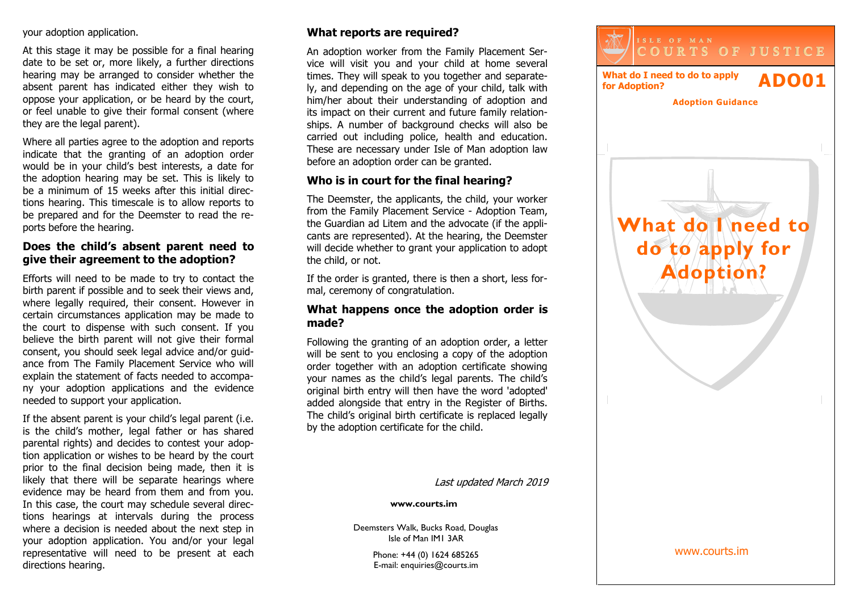your adoption application.

At this stage it may be possible for a final hearing date to be set or, more likely, a further directions hearing may be arranged to consider whether the absent parent has indicated either they wish to oppose your application, or be heard by the court, or feel unable to give their formal consent (where they are the legal parent).

Where all parties agree to the adoption and reports indicate that the granting of an adoption order would be in your child's best interests, a date for the adoption hearing may be set. This is likely to be a minimum of 15 weeks after this initial directions hearing. This timescale is to allow reports to be prepared and for the Deemster to read the reports before the hearing.

### **Does the child's absent parent need to give their agreement to the adoption?**

Efforts will need to be made to try to contact the birth parent if possible and to seek their views and, where legally required, their consent. However in certain circumstances application may be made to the court to dispense with such consent. If you believe the birth parent will not give their formal consent, you should seek legal advice and/or guidance from The Family Placement Service who will explain the statement of facts needed to accompany your adoption applications and the evidence needed to support your application.

If the absent parent is your child's legal parent (i.e. is the child's mother, legal father or has shared parental rights) and decides to contest your adoption application or wishes to be heard by the court prior to the final decision being made, then it is likely that there will be separate hearings where evidence may be heard from them and from you. In this case, the court may schedule several directions hearings at intervals during the process where a decision is needed about the next step in your adoption application. You and/or your legal representative will need to be present at each directions hearing.

# **What reports are required?**

An adoption worker from the Family Placement Service will visit you and your child at home several times. They will speak to you together and separately, and depending on the age of your child, talk with him/her about their understanding of adoption and its impact on their current and future family relationships. A number of background checks will also be carried out including police, health and education. These are necessary under Isle of Man adoption law before an adoption order can be granted.

## **Who is in court for the final hearing?**

The Deemster, the applicants, the child, your worker from the Family Placement Service - Adoption Team, the Guardian ad Litem and the advocate (if the applicants are represented). At the hearing, the Deemster will decide whether to grant your application to adopt the child, or not.

If the order is granted, there is then a short, less formal, ceremony of congratulation.

### **What happens once the adoption order is made?**

Following the granting of an adoption order, a letter will be sent to you enclosing a copy of the adoption order together with an adoption certificate showing your names as the child's legal parents. The child's original birth entry will then have the word 'adopted' added alongside that entry in the Register of Births. The child's original birth certificate is replaced legally by the adoption certificate for the child.

**What do I need to do to apply for Adoption? C O U R T S O F J U S T I C E What do I need to do to apply for Adoption? ADO01 Adoption Guidance**

Last updated March 2019

**www.courts.im**

Deemsters Walk, Bucks Road, Douglas Isle of Man IM1 3AR

> Phone: +44 (0) 1624 685265 E-mail: enquiries@courts.im

www.courts.im